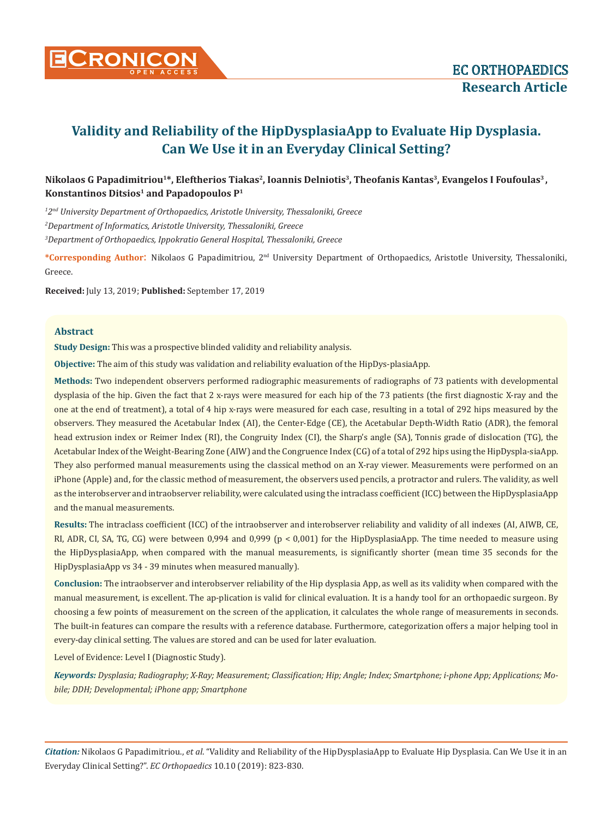

# **Nikolaos G Papadimitriou1\*, Eleftherios Tiakas2, Ioannis Delniotis3, Theofanis Kantas3, Evangelos I Foufoulas3 ,**  Konstantinos Ditsios<sup>1</sup> and Papadopoulos P<sup>1</sup>

*1 2nd University Department of Orthopaedics, Aristotle University, Thessaloniki, Greece 2 Department of Informatics, Aristotle University, Thessaloniki, Greece 3 Department of Orthopaedics, Ippokratio General Hospital, Thessaloniki, Greece*

**\*Corresponding Author**: Nikolaos G Papadimitriou, 2nd University Department of Orthopaedics, Aristotle University, Thessaloniki, Greece.

**Received:** July 13, 2019; **Published:** September 17, 2019

### **Abstract**

**Study Design:** This was a prospective blinded validity and reliability analysis.

**Objective:** The aim of this study was validation and reliability evaluation of the HipDys-plasiaApp.

**Methods:** Two independent observers performed radiographic measurements of radiographs of 73 patients with developmental dysplasia of the hip. Given the fact that 2 x-rays were measured for each hip of the 73 patients (the first diagnostic X-ray and the one at the end of treatment), a total of 4 hip x-rays were measured for each case, resulting in a total of 292 hips measured by the observers. They measured the Acetabular Index (AI), the Center-Edge (CE), the Acetabular Depth-Width Ratio (ADR), the femoral head extrusion index or Reimer Index (RI), the Congruity Index (CI), the Sharp's angle (SA), Tonnis grade of dislocation (TG), the Acetabular Index of the Weight-Bearing Zone (AIW) and the Congruence Index (CG) of a total of 292 hips using the HipDyspla-siaApp. They also performed manual measurements using the classical method on an X-ray viewer. Measurements were performed on an iPhone (Apple) and, for the classic method of measurement, the observers used pencils, a protractor and rulers. The validity, as well as the interobserver and intraobserver reliability, were calculated using the intraclass coefficient (ICC) between the HipDysplasiaApp and the manual measurements.

**Results:** The intraclass coefficient (ICC) of the intraobserver and interobserver reliability and validity of all indexes (AI, AIWB, CE, RI, ADR, CI, SA, TG, CG) were between 0,994 and 0,999 (p < 0,001) for the HipDysplasiaApp. The time needed to measure using the HipDysplasiaApp, when compared with the manual measurements, is significantly shorter (mean time 35 seconds for the HipDysplasiaApp vs 34 - 39 minutes when measured manually).

**Conclusion:** The intraobserver and interobserver reliability of the Hip dysplasia App, as well as its validity when compared with the manual measurement, is excellent. The ap-plication is valid for clinical evaluation. It is a handy tool for an orthopaedic surgeon. By choosing a few points of measurement on the screen of the application, it calculates the whole range of measurements in seconds. The built-in features can compare the results with a reference database. Furthermore, categorization offers a major helping tool in every-day clinical setting. The values are stored and can be used for later evaluation.

Level of Evidence: Level I (Diagnostic Study).

*Keywords: Dysplasia; Radiography; X-Ray; Measurement; Classification; Hip; Angle; Index; Smartphone; i-phone App; Applications; Mobile; DDH; Developmental; iPhone app; Smartphone*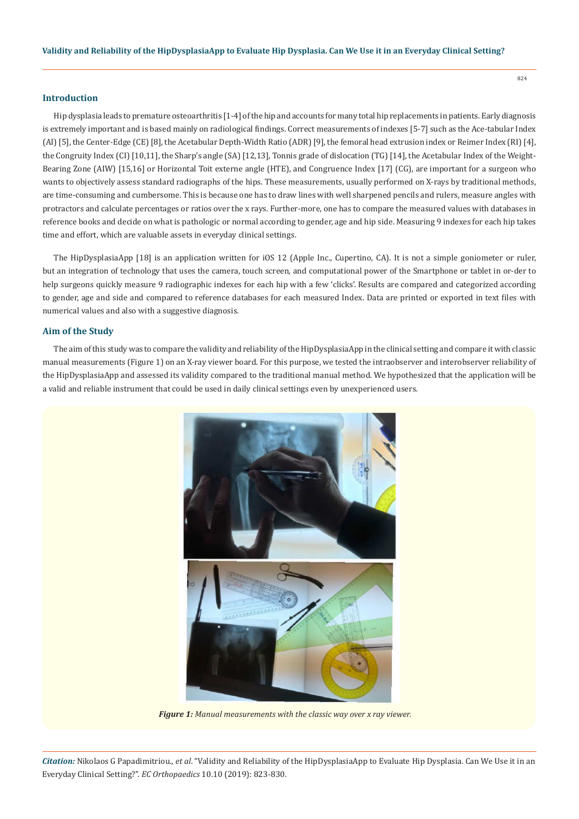# **Introduction**

Hip dysplasia leads to premature osteoarthritis [1-4] of the hip and accounts for many total hip replacements in patients. Early diagnosis is extremely important and is based mainly on radiological findings. Correct measurements of indexes [5-7] such as the Ace-tabular Index (AI) [5], the Center-Edge (CE) [8], the Acetabular Depth-Width Ratio (ADR) [9], the femoral head extrusion index or Reimer Index (RI) [4], the Congruity Index (CI) [10,11], the Sharp's angle (SA) [12,13], Tonnis grade of dislocation (TG) [14], the Acetabular Index of the Weight-Bearing Zone (AIW) [15,16] or Horizontal Toit externe angle (HTE), and Congruence Index [17] (CG), are important for a surgeon who wants to objectively assess standard radiographs of the hips. These measurements, usually performed on X-rays by traditional methods, are time-consuming and cumbersome. This is because one has to draw lines with well sharpened pencils and rulers, measure angles with protractors and calculate percentages or ratios over the x rays. Further-more, one has to compare the measured values with databases in reference books and decide on what is pathologic or normal according to gender, age and hip side. Measuring 9 indexes for each hip takes time and effort, which are valuable assets in everyday clinical settings.

The HipDysplasiaApp [18] is an application written for iOS 12 (Apple Inc., Cupertino, CA). It is not a simple goniometer or ruler, but an integration of technology that uses the camera, touch screen, and computational power of the Smartphone or tablet in or-der to help surgeons quickly measure 9 radiographic indexes for each hip with a few 'clicks'. Results are compared and categorized according to gender, age and side and compared to reference databases for each measured Index. Data are printed or exported in text files with numerical values and also with a suggestive diagnosis.

# **Aim of the Study**

The aim of this study was to compare the validity and reliability of the HipDysplasiaApp in the clinical setting and compare it with classic manual measurements (Figure 1) on an X-ray viewer board. For this purpose, we tested the intraobserver and interobserver reliability of the HipDysplasiaApp and assessed its validity compared to the traditional manual method. We hypothesized that the application will be a valid and reliable instrument that could be used in daily clinical settings even by unexperienced users.



*Figure 1: Manual measurements with the classic way over x ray viewer.*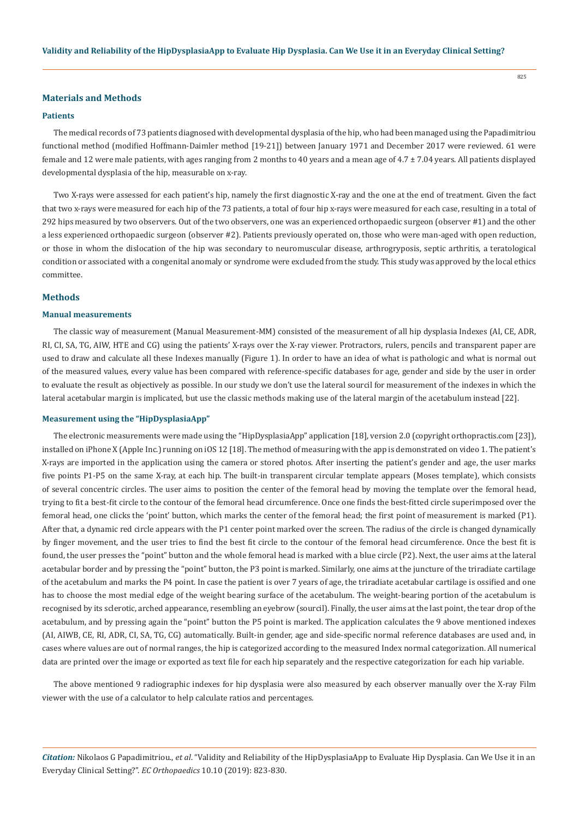# **Materials and Methods**

#### **Patients**

The medical records of 73 patients diagnosed with developmental dysplasia of the hip, who had been managed using the Papadimitriou functional method (modified Hoffmann-Daimler method [19-21]) between January 1971 and December 2017 were reviewed. 61 were female and 12 were male patients, with ages ranging from 2 months to 40 years and a mean age of 4.7 ± 7.04 years. All patients displayed developmental dysplasia of the hip, measurable on x-ray.

Two X-rays were assessed for each patient's hip, namely the first diagnostic X-ray and the one at the end of treatment. Given the fact that two x-rays were measured for each hip of the 73 patients, a total of four hip x-rays were measured for each case, resulting in a total of 292 hips measured by two observers. Out of the two observers, one was an experienced orthopaedic surgeon (observer #1) and the other a less experienced orthopaedic surgeon (observer #2). Patients previously operated on, those who were man-aged with open reduction, or those in whom the dislocation of the hip was secondary to neuromuscular disease, arthrogryposis, septic arthritis, a teratological condition or associated with a congenital anomaly or syndrome were excluded from the study. This study was approved by the local ethics committee.

# **Methods**

### **Manual measurements**

The classic way of measurement (Manual Measurement-MM) consisted of the measurement of all hip dysplasia Indexes (AI, CE, ADR, RI, CI, SA, TG, AIW, HTE and CG) using the patients' X-rays over the X-ray viewer. Protractors, rulers, pencils and transparent paper are used to draw and calculate all these Indexes manually (Figure 1). In order to have an idea of what is pathologic and what is normal out of the measured values, every value has been compared with reference-specific databases for age, gender and side by the user in order to evaluate the result as objectively as possible. In our study we don't use the lateral sourcil for measurement of the indexes in which the lateral acetabular margin is implicated, but use the classic methods making use of the lateral margin of the acetabulum instead [22].

#### **Measurement using the "HipDysplasiaApp"**

The electronic measurements were made using the "HipDysplasiaApp" application [18], version 2.0 (copyright orthopractis.com [23]), installed on iPhone X (Apple Inc.) running on iOS 12 [18]. The method of measuring with the app is demonstrated on video 1. The patient's X-rays are imported in the application using the camera or stored photos. After inserting the patient's gender and age, the user marks five points P1-P5 on the same X-ray, at each hip. The built-in transparent circular template appears (Moses template), which consists of several concentric circles. The user aims to position the center of the femoral head by moving the template over the femoral head, trying to fit a best-fit circle to the contour of the femoral head circumference. Once one finds the best-fitted circle superimposed over the femoral head, one clicks the 'point' button, which marks the center of the femoral head; the first point of measurement is marked (P1). After that, a dynamic red circle appears with the P1 center point marked over the screen. The radius of the circle is changed dynamically by finger movement, and the user tries to find the best fit circle to the contour of the femoral head circumference. Once the best fit is found, the user presses the "point" button and the whole femoral head is marked with a blue circle (P2). Next, the user aims at the lateral acetabular border and by pressing the "point" button, the P3 point is marked. Similarly, one aims at the juncture of the triradiate cartilage of the acetabulum and marks the P4 point. In case the patient is over 7 years of age, the triradiate acetabular cartilage is ossified and one has to choose the most medial edge of the weight bearing surface of the acetabulum. The weight-bearing portion of the acetabulum is recognised by its sclerotic, arched appearance, resembling an eyebrow (sourcil). Finally, the user aims at the last point, the tear drop of the acetabulum, and by pressing again the "point" button the P5 point is marked. The application calculates the 9 above mentioned indexes (AI, AIWB, CE, RI, ADR, CI, SA, TG, CG) automatically. Built-in gender, age and side-specific normal reference databases are used and, in cases where values are out of normal ranges, the hip is categorized according to the measured Index normal categorization. All numerical data are printed over the image or exported as text file for each hip separately and the respective categorization for each hip variable.

The above mentioned 9 radiographic indexes for hip dysplasia were also measured by each observer manually over the X-ray Film viewer with the use of a calculator to help calculate ratios and percentages.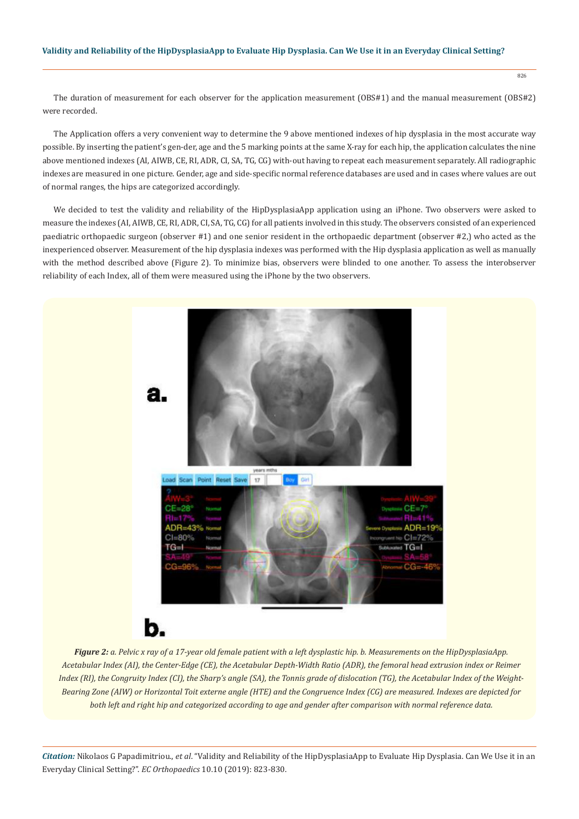826

The duration of measurement for each observer for the application measurement (OBS#1) and the manual measurement (OBS#2) were recorded.

The Application offers a very convenient way to determine the 9 above mentioned indexes of hip dysplasia in the most accurate way possible. By inserting the patient's gen-der, age and the 5 marking points at the same X-ray for each hip, the application calculates the nine above mentioned indexes (AI, AIWB, CE, RI, ADR, CI, SA, TG, CG) with-out having to repeat each measurement separately. All radiographic indexes are measured in one picture. Gender, age and side-specific normal reference databases are used and in cases where values are out of normal ranges, the hips are categorized accordingly.

We decided to test the validity and reliability of the HipDysplasiaApp application using an iPhone. Two observers were asked to measure the indexes (AI, AIWB, CE, RI, ADR, CI, SA, TG, CG) for all patients involved in this study. The observers consisted of an experienced paediatric orthopaedic surgeon (observer #1) and one senior resident in the orthopaedic department (observer #2,) who acted as the inexperienced observer. Measurement of the hip dysplasia indexes was performed with the Hip dysplasia application as well as manually with the method described above (Figure 2). To minimize bias, observers were blinded to one another. To assess the interobserver reliability of each Index, all of them were measured using the iPhone by the two observers.



*Figure 2: a. Pelvic x ray of a 17-year old female patient with a left dysplastic hip. b. Measurements on the HipDysplasiaApp. Acetabular Index (AI), the Center-Edge (CE), the Acetabular Depth-Width Ratio (ADR), the femoral head extrusion index or Reimer Index (RI), the Congruity Index (CI), the Sharp's angle (SA), the Tonnis grade of dislocation (TG), the Acetabular Index of the Weight-Bearing Zone (AIW) or Horizontal Toit externe angle (HTE) and the Congruence Index (CG) are measured. Indexes are depicted for both left and right hip and categorized according to age and gender after comparison with normal reference data.*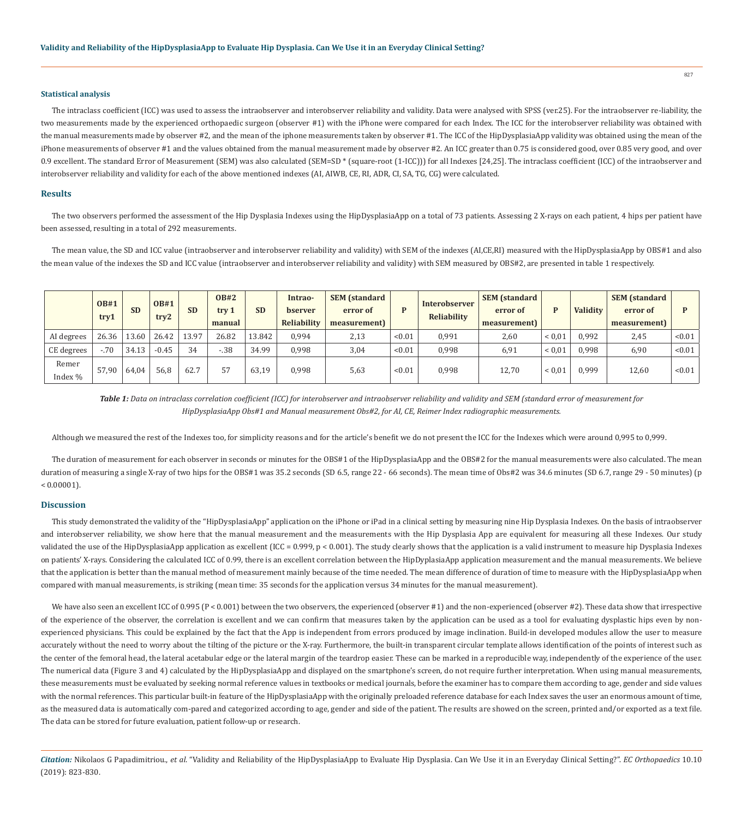#### **Statistical analysis**

The intraclass coefficient (ICC) was used to assess the intraobserver and interobserver reliability and validity. Data were analysed with SPSS (ver.25). For the intraobserver re-liability, the two measurements made by the experienced orthopaedic surgeon (observer #1) with the iPhone were compared for each Index. The ICC for the interobserver reliability was obtained with the manual measurements made by observer #2, and the mean of the iphone measurements taken by observer #1. The ICC of the HipDysplasiaApp validity was obtained using the mean of the iPhone measurements of observer #1 and the values obtained from the manual measurement made by observer #2. An ICC greater than 0.75 is considered good, over 0.85 very good, and over 0.9 excellent. The standard Error of Measurement (SEM) was also calculated (SEM=SD \* (square-root (1-ICC))) for all Indexes [24,25]. The intraclass coefficient (ICC) of the intraobserver and interobserver reliability and validity for each of the above mentioned indexes (AI, AIWB, CE, RI, ADR, CI, SA, TG, CG) were calculated.

#### **Results**

The two observers performed the assessment of the Hip Dysplasia Indexes using the HipDysplasiaApp on a total of 73 patients. Assessing 2 X-rays on each patient, 4 hips per patient have been assessed, resulting in a total of 292 measurements.

The mean value, the SD and ICC value (intraobserver and interobserver reliability and validity) with SEM of the indexes (AI,CE,RI) measured with the HipDysplasiaApp by OBS#1 and also the mean value of the indexes the SD and ICC value (intraobserver and interobserver reliability and validity) with SEM measured by OBS#2, are presented in table 1 respectively.

|                  | <b>OB#1</b><br>try1 | <b>SD</b> | <b>OB#1</b><br>try2 | <b>SD</b> | <b>OB#2</b><br>try 1<br>manual | <b>SD</b> | Intrao-<br>bserver<br>Reliability | <b>SEM</b> (standard<br>error of<br>measurement) | D      | Interobserver<br>Reliability | <b>SEM</b> (standard<br>error of<br>measurement) | P          | <b>Validity</b> | <b>SEM</b> (standard<br>error of<br>measurement) |        |
|------------------|---------------------|-----------|---------------------|-----------|--------------------------------|-----------|-----------------------------------|--------------------------------------------------|--------|------------------------------|--------------------------------------------------|------------|-----------------|--------------------------------------------------|--------|
| AI degrees       | 26.36               | 13.60     | 26.42               | 13.97     | 26.82                          | 13.842    | 0,994                             | 2,13                                             | < 0.01 | 0,991                        | 2,60                                             | ${}< 0.01$ | 0,992           | 2,45                                             | < 0.01 |
| CE degrees       | $-.70$              | 34.13     | $-0.45$             | 34        | $-.38$                         | 34.99     | 0,998                             | 3,04                                             | < 0.01 | 0,998                        | 6,91                                             | ${}< 0.01$ | 0,998           | 6,90                                             | < 0.01 |
| Remer<br>Index % | 57,90               | 64,04     | 56,8                | 62.7      | $ -$                           | 63,19     | 0,998                             | 5,63                                             | < 0.01 | 0,998                        | 12,70                                            | ${}< 0.01$ | 0,999           | 12,60                                            | < 0.01 |

*Table 1: Data on intraclass correlation coefficient (ICC) for interobserver and intraobserver reliability and validity and SEM (standard error of measurement for HipDysplasiaApp Obs#1 and Manual measurement Obs#2, for AI, CE, Reimer Index radiographic measurements.*

Although we measured the rest of the Indexes too, for simplicity reasons and for the article's benefit we do not present the ICC for the Indexes which were around 0,995 to 0,999.

The duration of measurement for each observer in seconds or minutes for the OBS#1 of the HipDysplasiaApp and the OBS#2 for the manual measurements were also calculated. The mean duration of measuring a single X-ray of two hips for the OBS#1 was 35.2 seconds (SD 6.5, range 22 - 66 seconds). The mean time of Obs#2 was 34.6 minutes (SD 6.7, range 29 - 50 minutes) (p  $< 0.00001$ ).

# **Discussion**

This study demonstrated the validity of the "ΗipDysplasiaApp" application on the iPhone or iPad in a clinical setting by measuring nine Hip Dysplasia Indexes. On the basis of intraobserver and interobserver reliability, we show here that the manual measurement and the measurements with the Hip Dysplasia App are equivalent for measuring all these Indexes. Our study validated the use of the HipDysplasiaApp application as excellent (ICC = 0.999,  $p < 0.001$ ). The study clearly shows that the application is a valid instrument to measure hip Dysplasia Indexes on patients' X-rays. Considering the calculated ICC of 0.99, there is an excellent correlation between the HipDyplasiaApp application measurement and the manual measurements. We believe that the application is better than the manual method of measurement mainly because of the time needed. The mean difference of duration of time to measure with the HipDysplasiaApp when compared with manual measurements, is striking (mean time: 35 seconds for the application versus 34 minutes for the manual measurement).

We have also seen an excellent ICC of 0.995 ( $P < 0.001$ ) between the two observers, the experienced (observer #1) and the non-experienced (observer #2). These data show that irrespective of the experience of the observer, the correlation is excellent and we can confirm that measures taken by the application can be used as a tool for evaluating dysplastic hips even by nonexperienced physicians. This could be explained by the fact that the App is independent from errors produced by image inclination. Build-in developed modules allow the user to measure accurately without the need to worry about the tilting of the picture or the X-ray. Furthermore, the built-in transparent circular template allows identification of the points of interest such as the center of the femoral head, the lateral acetabular edge or the lateral margin of the teardrop easier. These can be marked in a reproducible way, independently of the experience of the user. The numerical data (Figure 3 and 4) calculated by the HipDysplasiaApp and displayed on the smartphone's screen, do not require further interpretation. When using manual measurements, these measurements must be evaluated by seeking normal reference values in textbooks or medical journals, before the examiner has to compare them according to age, gender and side values with the normal references. This particular built-in feature of the HipDysplasiaApp with the originally preloaded reference database for each Index saves the user an enormous amount of time, as the measured data is automatically com-pared and categorized according to age, gender and side of the patient. The results are showed on the screen, printed and/or exported as a text file. The data can be stored for future evaluation, patient follow-up or research.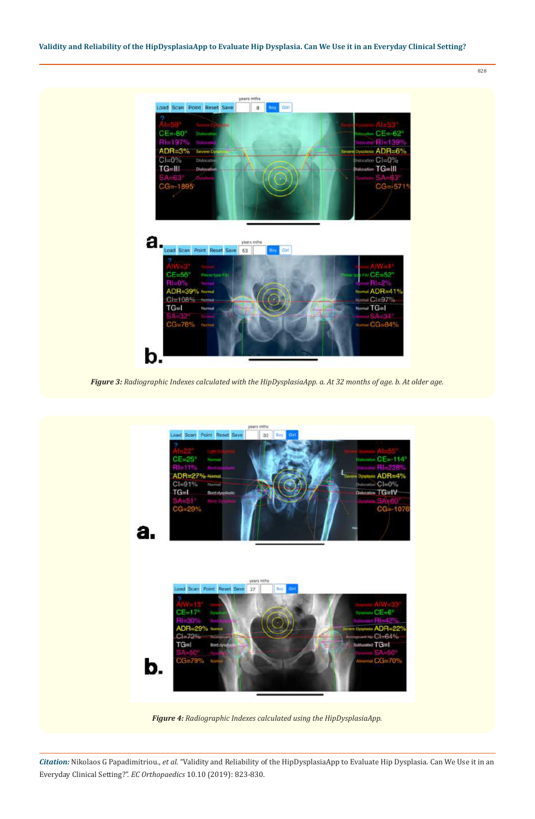828



*Figure 3: Radiographic Indexes calculated with the HipDysplasiaApp. a. At 32 months of age. b. At older age.* 

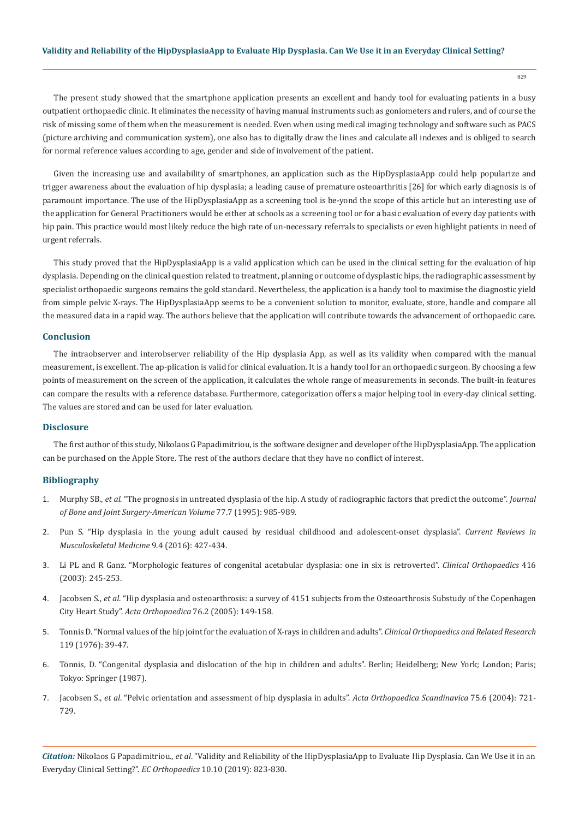The present study showed that the smartphone application presents an excellent and handy tool for evaluating patients in a busy outpatient orthopaedic clinic. It eliminates the necessity of having manual instruments such as goniometers and rulers, and of course the risk of missing some of them when the measurement is needed. Even when using medical imaging technology and software such as PACS (picture archiving and communication system), one also has to digitally draw the lines and calculate all indexes and is obliged to search for normal reference values according to age, gender and side of involvement of the patient.

Given the increasing use and availability of smartphones, an application such as the HipDysplasiaApp could help popularize and trigger awareness about the evaluation of hip dysplasia; a leading cause of premature osteoarthritis [26] for which early diagnosis is of paramount importance. The use of the HipDysplasiaApp as a screening tool is be-yond the scope of this article but an interesting use of the application for General Practitioners would be either at schools as a screening tool or for a basic evaluation of every day patients with hip pain. This practice would most likely reduce the high rate of un-necessary referrals to specialists or even highlight patients in need of urgent referrals.

This study proved that the HipDysplasiaApp is a valid application which can be used in the clinical setting for the evaluation of hip dysplasia. Depending on the clinical question related to treatment, planning or outcome of dysplastic hips, the radiographic assessment by specialist orthopaedic surgeons remains the gold standard. Nevertheless, the application is a handy tool to maximise the diagnostic yield from simple pelvic X-rays. The HipDysplasiaApp seems to be a convenient solution to monitor, evaluate, store, handle and compare all the measured data in a rapid way. The authors believe that the application will contribute towards the advancement of orthopaedic care.

# **Conclusion**

The intraobserver and interobserver reliability of the Hip dysplasia App, as well as its validity when compared with the manual measurement, is excellent. The ap-plication is valid for clinical evaluation. It is a handy tool for an orthopaedic surgeon. By choosing a few points of measurement on the screen of the application, it calculates the whole range of measurements in seconds. The built-in features can compare the results with a reference database. Furthermore, categorization offers a major helping tool in every-day clinical setting. The values are stored and can be used for later evaluation.

# **Disclosure**

The first author of this study, Nikolaos G Papadimitriou, is the software designer and developer of the HipDysplasiaApp. The application can be purchased on the Apple Store. The rest of the authors declare that they have no conflict of interest.

#### **Bibliography**

- 1. Murphy SB., *et al*[. "The prognosis in untreated dysplasia of the hip. A study of radiographic factors that predict the outcome".](https://www.ncbi.nlm.nih.gov/pubmed/7608241) *Journal [of Bone and Joint Surgery-American Volume](https://www.ncbi.nlm.nih.gov/pubmed/7608241)* 77.7 (1995): 985-989.
- 2. [Pun S. "Hip dysplasia in the young adult caused by residual childhood and adolescent-onset dysplasia".](https://www.ncbi.nlm.nih.gov/pubmed/27613709) *Current Reviews in [Musculoskeletal Medicine](https://www.ncbi.nlm.nih.gov/pubmed/27613709)* 9.4 (2016): 427-434.
- 3. [Li PL and R Ganz. "Morphologic features of congenital acetabular dysplasia: one in six is retroverted".](https://www.ncbi.nlm.nih.gov/pubmed/14646767) *Clinical Orthopaedics* 416 [\(2003\): 245-253.](https://www.ncbi.nlm.nih.gov/pubmed/14646767)
- 4. Jacobsen S., *et al*[. "Hip dysplasia and osteoarthrosis: a survey of 4151 subjects from the Osteoarthrosis Substudy of the Copenhagen](https://www.ncbi.nlm.nih.gov/pubmed/16097538)  City Heart Study". *[Acta Orthopaedica](https://www.ncbi.nlm.nih.gov/pubmed/16097538)* 76.2 (2005): 149-158.
- 5. [Tonnis D. "Normal values of the hip joint for the evaluation of X-rays in children and adults".](https://www.ncbi.nlm.nih.gov/pubmed/954321) *Clinical Orthopaedics and Related Research*  [119 \(1976\): 39-47.](https://www.ncbi.nlm.nih.gov/pubmed/954321)
- 6. [Tönnis, D. "Congenital dysplasia and dislocation of the hip in children and adults". Berlin; Heidelberg; New York; London; Paris;](https://www.springer.com/gp/book/9783642710407)  [Tokyo: Springer \(1987\).](https://www.springer.com/gp/book/9783642710407)
- 7. Jacobsen S., *et al*[. "Pelvic orientation and assessment of hip dysplasia in adults".](https://www.ncbi.nlm.nih.gov/pubmed/15762262) *Acta Orthopaedica Scandinavica* 75.6 (2004): 721- [729.](https://www.ncbi.nlm.nih.gov/pubmed/15762262)

*Citation:* Nikolaos G Papadimitriou., *et al*. "Validity and Reliability of the HipDysplasiaApp to Evaluate Hip Dysplasia. Can We Use it in an Everyday Clinical Setting?". *EC Orthopaedics* 10.10 (2019): 823-830.

829